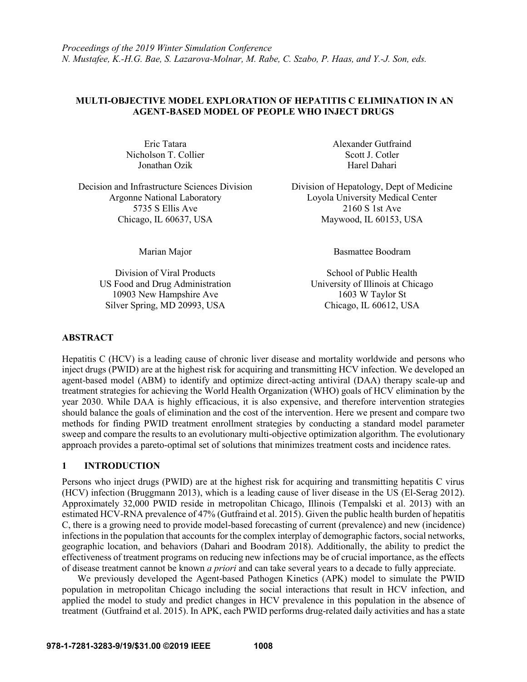# **MULTI-OBJECTIVE MODEL EXPLORATION OF HEPATITIS C ELIMINATION IN AN AGENT-BASED MODEL OF PEOPLE WHO INJECT DRUGS**

Nicholson T. Collier Scott J. Cotler Scott J. Cotler Jonathan Ozik Harel Dahari

Decision and Infrastructure Sciences Division Division of Hepatology, Dept of Medicine 5735 S Ellis Ave 2160 S 1st Ave Chicago, IL 60637, USA Maywood, IL 60153, USA

Division of Viral Products School of Public Health US Food and Drug Administration University of Illinois at Chicago 10903 New Hampshire Ave 1603 W Taylor St Silver Spring, MD 20993, USA Chicago, IL 60612, USA

Eric Tatara Alexander Gutfraind

Argonne National Laboratory Loyola University Medical Center

Marian Major Basmattee Boodram

## **ABSTRACT**

Hepatitis C (HCV) is a leading cause of chronic liver disease and mortality worldwide and persons who inject drugs (PWID) are at the highest risk for acquiring and transmitting HCV infection. We developed an agent-based model (ABM) to identify and optimize direct-acting antiviral (DAA) therapy scale-up and treatment strategies for achieving the World Health Organization (WHO) goals of HCV elimination by the year 2030. While DAA is highly efficacious, it is also expensive, and therefore intervention strategies should balance the goals of elimination and the cost of the intervention. Here we present and compare two methods for finding PWID treatment enrollment strategies by conducting a standard model parameter sweep and compare the results to an evolutionary multi-objective optimization algorithm. The evolutionary approach provides a pareto-optimal set of solutions that minimizes treatment costs and incidence rates.

## **1 INTRODUCTION**

Persons who inject drugs (PWID) are at the highest risk for acquiring and transmitting hepatitis C virus (HCV) infection (Bruggmann 2013), which is a leading cause of liver disease in the US (El-Serag 2012). Approximately 32,000 PWID reside in metropolitan Chicago, Illinois (Tempalski et al. 2013) with an estimated HCV-RNA prevalence of 47% (Gutfraind et al. 2015). Given the public health burden of hepatitis C, there is a growing need to provide model-based forecasting of current (prevalence) and new (incidence) infections in the population that accounts for the complex interplay of demographic factors, social networks, geographic location, and behaviors (Dahari and Boodram 2018). Additionally, the ability to predict the effectiveness of treatment programs on reducing new infections may be of crucial importance, as the effects of disease treatment cannot be known *a priori* and can take several years to a decade to fully appreciate.

We previously developed the Agent-based Pathogen Kinetics (APK) model to simulate the PWID population in metropolitan Chicago including the social interactions that result in HCV infection, and applied the model to study and predict changes in HCV prevalence in this population in the absence of treatment (Gutfraind et al. 2015). In APK, each PWID performs drug-related daily activities and has a state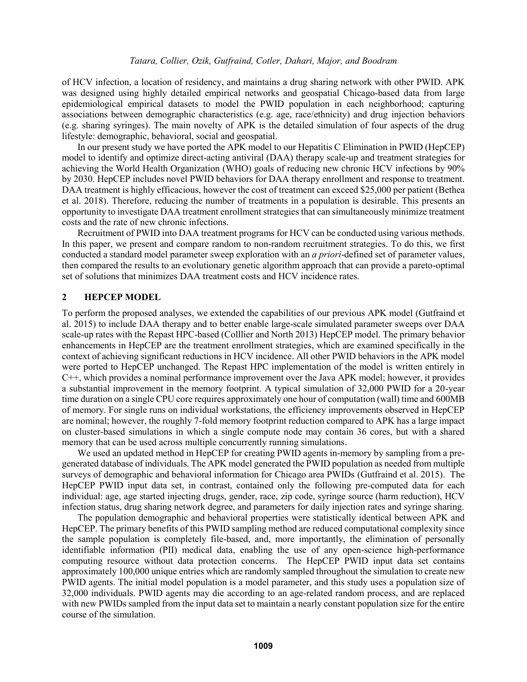of HCV infection, a location of residency, and maintains a drug sharing network with other PWID. APK was designed using highly detailed empirical networks and geospatial Chicago-based data from large epidemiological empirical datasets to model the PWID population in each neighborhood; capturing associations between demographic characteristics (e.g. age, race/ethnicity) and drug injection behaviors (e.g. sharing syringes). The main novelty of APK is the detailed simulation of four aspects of the drug lifestyle: demographic, behavioral, social and geospatial.

In our present study we have ported the APK model to our Hepatitis C Elimination in PWID (HepCEP) model to identify and optimize direct-acting antiviral (DAA) therapy scale-up and treatment strategies for achieving the World Health Organization (WHO) goals of reducing new chronic HCV infections by 90% by 2030. HepCEP includes novel PWID behaviors for DAA therapy enrollment and response to treatment. DAA treatment is highly efficacious, however the cost of treatment can exceed \$25,000 per patient (Bethea et al. 2018). Therefore, reducing the number of treatments in a population is desirable. This presents an opportunity to investigate DAA treatment enrollment strategies that can simultaneously minimize treatment costs and the rate of new chronic infections.

Recruitment of PWID into DAA treatment programs for HCV can be conducted using various methods. In this paper, we present and compare random to non-random recruitment strategies. To do this, we first conducted a standard model parameter sweep exploration with an *a priori*-defined set of parameter values, then compared the results to an evolutionary genetic algorithm approach that can provide a pareto-optimal set of solutions that minimizes DAA treatment costs and HCV incidence rates.

## **2 HEPCEP MODEL**

To perform the proposed analyses, we extended the capabilities of our previous APK model (Gutfraind et al. 2015) to include DAA therapy and to better enable large-scale simulated parameter sweeps over DAA scale-up rates with the Repast HPC-based (Colllier and North 2013) HepCEP model. The primary behavior enhancements in HepCEP are the treatment enrollment strategies, which are examined specifically in the context of achieving significant reductions in HCV incidence. All other PWID behaviors in the APK model were ported to HepCEP unchanged. The Repast HPC implementation of the model is written entirely in C++, which provides a nominal performance improvement over the Java APK model; however, it provides a substantial improvement in the memory footprint. A typical simulation of 32,000 PWID for a 20-year time duration on a single CPU core requires approximately one hour of computation (wall) time and 600MB of memory. For single runs on individual workstations, the efficiency improvements observed in HepCEP are nominal; however, the roughly 7-fold memory footprint reduction compared to APK has a large impact on cluster-based simulations in which a single compute node may contain 36 cores, but with a shared memory that can be used across multiple concurrently running simulations.

We used an updated method in HepCEP for creating PWID agents in-memory by sampling from a pregenerated database of individuals. The APK model generated the PWID population as needed from multiple surveys of demographic and behavioral information for Chicago area PWIDs (Gutfraind et al. 2015). The HepCEP PWID input data set, in contrast, contained only the following pre-computed data for each individual: age, age started injecting drugs, gender, race, zip code, syringe source (harm reduction), HCV infection status, drug sharing network degree, and parameters for daily injection rates and syringe sharing.

The population demographic and behavioral properties were statistically identical between APK and HepCEP. The primary benefits of this PWID sampling method are reduced computational complexity since the sample population is completely file-based, and, more importantly, the elimination of personally identifiable information (PII) medical data, enabling the use of any open-science high-performance computing resource without data protection concerns. The HepCEP PWID input data set contains approximately 100,000 unique entries which are randomly sampled throughout the simulation to create new PWID agents. The initial model population is a model parameter, and this study uses a population size of 32,000 individuals. PWID agents may die according to an age-related random process, and are replaced with new PWIDs sampled from the input data set to maintain a nearly constant population size for the entire course of the simulation.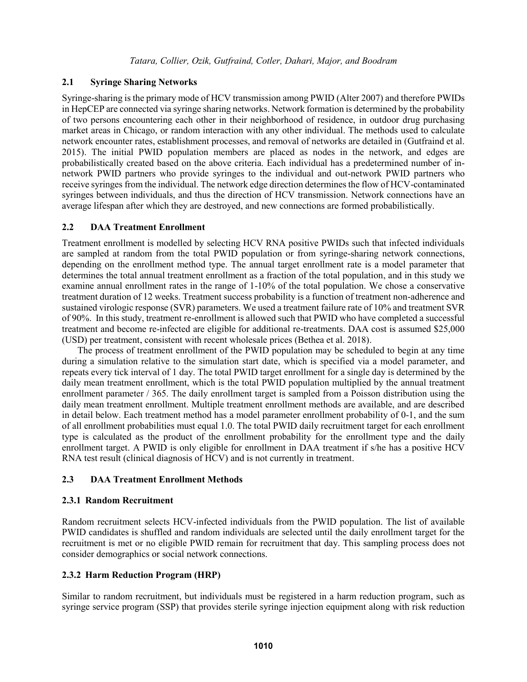## **2.1 Syringe Sharing Networks**

Syringe-sharing is the primary mode of HCV transmission among PWID (Alter 2007) and therefore PWIDs in HepCEP are connected via syringe sharing networks. Network formation is determined by the probability of two persons encountering each other in their neighborhood of residence, in outdoor drug purchasing market areas in Chicago, or random interaction with any other individual. The methods used to calculate network encounter rates, establishment processes, and removal of networks are detailed in (Gutfraind et al. 2015). The initial PWID population members are placed as nodes in the network, and edges are probabilistically created based on the above criteria. Each individual has a predetermined number of innetwork PWID partners who provide syringes to the individual and out-network PWID partners who receive syringes from the individual. The network edge direction determines the flow of HCV-contaminated syringes between individuals, and thus the direction of HCV transmission. Network connections have an average lifespan after which they are destroyed, and new connections are formed probabilistically.

## **2.2 DAA Treatment Enrollment**

Treatment enrollment is modelled by selecting HCV RNA positive PWIDs such that infected individuals are sampled at random from the total PWID population or from syringe-sharing network connections, depending on the enrollment method type. The annual target enrollment rate is a model parameter that determines the total annual treatment enrollment as a fraction of the total population, and in this study we examine annual enrollment rates in the range of 1-10% of the total population. We chose a conservative treatment duration of 12 weeks. Treatment success probability is a function of treatment non-adherence and sustained virologic response (SVR) parameters. We used a treatment failure rate of 10% and treatment SVR of 90%. In this study, treatment re-enrollment is allowed such that PWID who have completed a successful treatment and become re-infected are eligible for additional re-treatments. DAA cost is assumed \$25,000 (USD) per treatment, consistent with recent wholesale prices (Bethea et al. 2018).

The process of treatment enrollment of the PWID population may be scheduled to begin at any time during a simulation relative to the simulation start date, which is specified via a model parameter, and repeats every tick interval of 1 day. The total PWID target enrollment for a single day is determined by the daily mean treatment enrollment, which is the total PWID population multiplied by the annual treatment enrollment parameter / 365. The daily enrollment target is sampled from a Poisson distribution using the daily mean treatment enrollment. Multiple treatment enrollment methods are available, and are described in detail below. Each treatment method has a model parameter enrollment probability of 0-1, and the sum of all enrollment probabilities must equal 1.0. The total PWID daily recruitment target for each enrollment type is calculated as the product of the enrollment probability for the enrollment type and the daily enrollment target. A PWID is only eligible for enrollment in DAA treatment if s/he has a positive HCV RNA test result (clinical diagnosis of HCV) and is not currently in treatment.

# <span id="page-2-0"></span>**2.3 DAA Treatment Enrollment Methods**

### **2.3.1 Random Recruitment**

Random recruitment selects HCV-infected individuals from the PWID population. The list of available PWID candidates is shuffled and random individuals are selected until the daily enrollment target for the recruitment is met or no eligible PWID remain for recruitment that day. This sampling process does not consider demographics or social network connections.

## **2.3.2 Harm Reduction Program (HRP)**

Similar to random recruitment, but individuals must be registered in a harm reduction program, such as syringe service program (SSP) that provides sterile syringe injection equipment along with risk reduction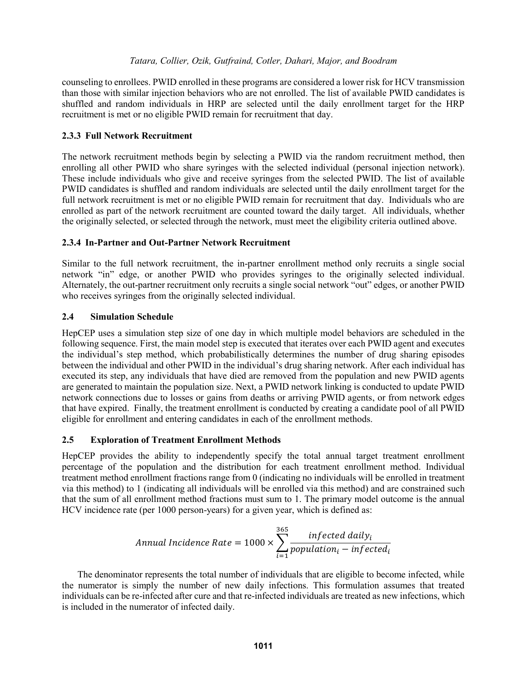counseling to enrollees. PWID enrolled in these programs are considered a lower risk for HCV transmission than those with similar injection behaviors who are not enrolled. The list of available PWID candidates is shuffled and random individuals in HRP are selected until the daily enrollment target for the HRP recruitment is met or no eligible PWID remain for recruitment that day.

## **2.3.3 Full Network Recruitment**

The network recruitment methods begin by selecting a PWID via the random recruitment method, then enrolling all other PWID who share syringes with the selected individual (personal injection network). These include individuals who give and receive syringes from the selected PWID. The list of available PWID candidates is shuffled and random individuals are selected until the daily enrollment target for the full network recruitment is met or no eligible PWID remain for recruitment that day. Individuals who are enrolled as part of the network recruitment are counted toward the daily target. All individuals, whether the originally selected, or selected through the network, must meet the eligibility criteria outlined above.

## **2.3.4 In-Partner and Out-Partner Network Recruitment**

Similar to the full network recruitment, the in-partner enrollment method only recruits a single social network "in" edge, or another PWID who provides syringes to the originally selected individual. Alternately, the out-partner recruitment only recruits a single social network "out" edges, or another PWID who receives syringes from the originally selected individual.

# **2.4 Simulation Schedule**

HepCEP uses a simulation step size of one day in which multiple model behaviors are scheduled in the following sequence. First, the main model step is executed that iterates over each PWID agent and executes the individual's step method, which probabilistically determines the number of drug sharing episodes between the individual and other PWID in the individual's drug sharing network. After each individual has executed its step, any individuals that have died are removed from the population and new PWID agents are generated to maintain the population size. Next, a PWID network linking is conducted to update PWID network connections due to losses or gains from deaths or arriving PWID agents, or from network edges that have expired. Finally, the treatment enrollment is conducted by creating a candidate pool of all PWID eligible for enrollment and entering candidates in each of the enrollment methods.

## **2.5 Exploration of Treatment Enrollment Methods**

HepCEP provides the ability to independently specify the total annual target treatment enrollment percentage of the population and the distribution for each treatment enrollment method. Individual treatment method enrollment fractions range from 0 (indicating no individuals will be enrolled in treatment via this method) to 1 (indicating all individuals will be enrolled via this method) and are constrained such that the sum of all enrollment method fractions must sum to 1. The primary model outcome is the annual HCV incidence rate (per 1000 person-years) for a given year, which is defined as:

$$
Annual\,Incidence\, Rate = 1000 \times \sum_{i=1}^{365} \frac{infected\, daily_i}{population_i - infected_i}
$$

The denominator represents the total number of individuals that are eligible to become infected, while the numerator is simply the number of new daily infections. This formulation assumes that treated individuals can be re-infected after cure and that re-infected individuals are treated as new infections, which is included in the numerator of infected daily.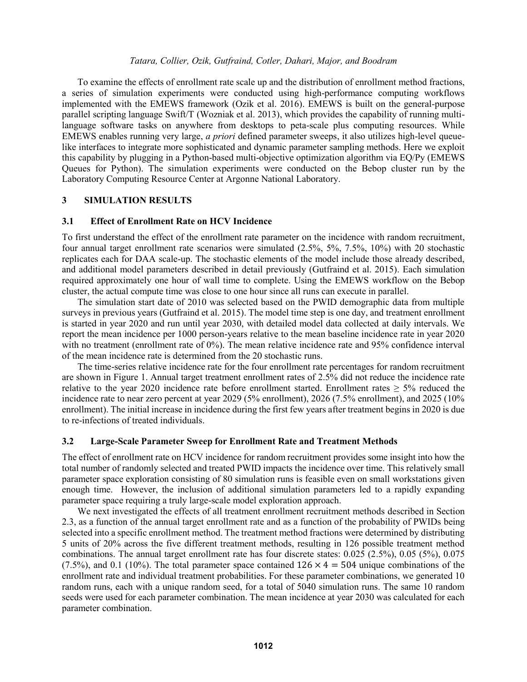To examine the effects of enrollment rate scale up and the distribution of enrollment method fractions, a series of simulation experiments were conducted using high-performance computing workflows implemented with the EMEWS framework (Ozik et al. 2016). EMEWS is built on the general-purpose parallel scripting language Swift/T (Wozniak et al. 2013), which provides the capability of running multilanguage software tasks on anywhere from desktops to peta-scale plus computing resources. While EMEWS enables running very large, *a priori* defined parameter sweeps, it also utilizes high-level queuelike interfaces to integrate more sophisticated and dynamic parameter sampling methods. Here we exploit this capability by plugging in a Python-based multi-objective optimization algorithm via EQ/Py (EMEWS Queues for Python). The simulation experiments were conducted on the Bebop cluster run by the Laboratory Computing Resource Center at Argonne National Laboratory.

### **3 SIMULATION RESULTS**

### **3.1 Effect of Enrollment Rate on HCV Incidence**

To first understand the effect of the enrollment rate parameter on the incidence with random recruitment, four annual target enrollment rate scenarios were simulated (2.5%, 5%, 7.5%, 10%) with 20 stochastic replicates each for DAA scale-up. The stochastic elements of the model include those already described, and additional model parameters described in detail previously (Gutfraind et al. 2015). Each simulation required approximately one hour of wall time to complete. Using the EMEWS workflow on the Bebop cluster, the actual compute time was close to one hour since all runs can execute in parallel.

The simulation start date of 2010 was selected based on the PWID demographic data from multiple surveys in previous years (Gutfraind et al. 2015). The model time step is one day, and treatment enrollment is started in year 2020 and run until year 2030, with detailed model data collected at daily intervals. We report the mean incidence per 1000 person-years relative to the mean baseline incidence rate in year 2020 with no treatment (enrollment rate of 0%). The mean relative incidence rate and 95% confidence interval of the mean incidence rate is determined from the 20 stochastic runs.

The time-series relative incidence rate for the four enrollment rate percentages for random recruitment are shown in [Figure 1.](#page-5-0) Annual target treatment enrollment rates of 2.5% did not reduce the incidence rate relative to the year 2020 incidence rate before enrollment started. Enrollment rates  $\geq$  5% reduced the incidence rate to near zero percent at year 2029 (5% enrollment), 2026 (7.5% enrollment), and 2025 (10% enrollment). The initial increase in incidence during the first few years after treatment begins in 2020 is due to re-infections of treated individuals.

### **3.2 Large-Scale Parameter Sweep for Enrollment Rate and Treatment Methods**

The effect of enrollment rate on HCV incidence for random recruitment provides some insight into how the total number of randomly selected and treated PWID impacts the incidence over time. This relatively small parameter space exploration consisting of 80 simulation runs is feasible even on small workstations given enough time. However, the inclusion of additional simulation parameters led to a rapidly expanding parameter space requiring a truly large-scale model exploration approach.

We next investigated the effects of all treatment enrollment recruitment methods described in Section [2.3,](#page-2-0) as a function of the annual target enrollment rate and as a function of the probability of PWIDs being selected into a specific enrollment method. The treatment method fractions were determined by distributing 5 units of 20% across the five different treatment methods, resulting in 126 possible treatment method combinations. The annual target enrollment rate has four discrete states: 0.025 (2.5%), 0.05 (5%), 0.075 (7.5%), and 0.1 (10%). The total parameter space contained  $126 \times 4 = 504$  unique combinations of the enrollment rate and individual treatment probabilities. For these parameter combinations, we generated 10 random runs, each with a unique random seed, for a total of 5040 simulation runs. The same 10 random seeds were used for each parameter combination. The mean incidence at year 2030 was calculated for each parameter combination.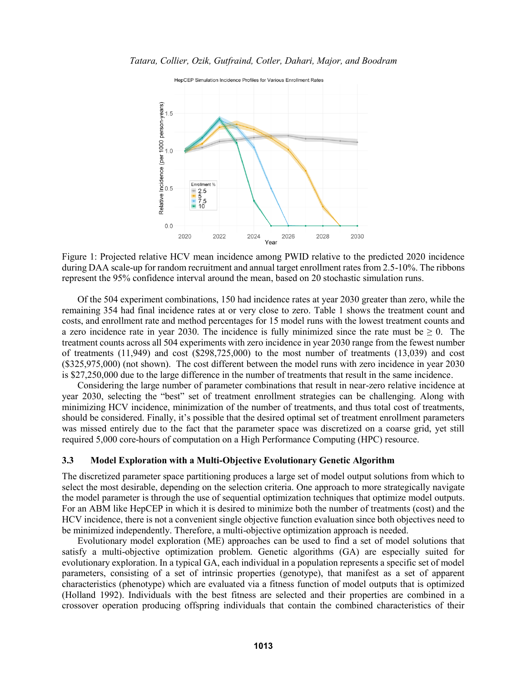

<span id="page-5-0"></span>Figure 1: Projected relative HCV mean incidence among PWID relative to the predicted 2020 incidence during DAA scale-up for random recruitment and annual target enrollment rates from 2.5-10%. The ribbons represent the 95% confidence interval around the mean, based on 20 stochastic simulation runs.

Of the 504 experiment combinations, 150 had incidence rates at year 2030 greater than zero, while the remaining 354 had final incidence rates at or very close to zero. [Table 1](#page-6-0) shows the treatment count and costs, and enrollment rate and method percentages for 15 model runs with the lowest treatment counts and a zero incidence rate in year 2030. The incidence is fully minimized since the rate must be  $\geq 0$ . The treatment counts across all 504 experiments with zero incidence in year 2030 range from the fewest number of treatments (11,949) and cost (\$298,725,000) to the most number of treatments (13,039) and cost (\$325,975,000) (not shown). The cost different between the model runs with zero incidence in year 2030 is \$27,250,000 due to the large difference in the number of treatments that result in the same incidence.

Considering the large number of parameter combinations that result in near-zero relative incidence at year 2030, selecting the "best" set of treatment enrollment strategies can be challenging. Along with minimizing HCV incidence, minimization of the number of treatments, and thus total cost of treatments, should be considered. Finally, it's possible that the desired optimal set of treatment enrollment parameters was missed entirely due to the fact that the parameter space was discretized on a coarse grid, yet still required 5,000 core-hours of computation on a High Performance Computing (HPC) resource.

## **3.3 Model Exploration with a Multi-Objective Evolutionary Genetic Algorithm**

The discretized parameter space partitioning produces a large set of model output solutions from which to select the most desirable, depending on the selection criteria. One approach to more strategically navigate the model parameter is through the use of sequential optimization techniques that optimize model outputs. For an ABM like HepCEP in which it is desired to minimize both the number of treatments (cost) and the HCV incidence, there is not a convenient single objective function evaluation since both objectives need to be minimized independently. Therefore, a multi-objective optimization approach is needed.

Evolutionary model exploration (ME) approaches can be used to find a set of model solutions that satisfy a multi-objective optimization problem. Genetic algorithms (GA) are especially suited for evolutionary exploration. In a typical GA, each individual in a population represents a specific set of model parameters, consisting of a set of intrinsic properties (genotype), that manifest as a set of apparent characteristics (phenotype) which are evaluated via a fitness function of model outputs that is optimized (Holland 1992). Individuals with the best fitness are selected and their properties are combined in a crossover operation producing offspring individuals that contain the combined characteristics of their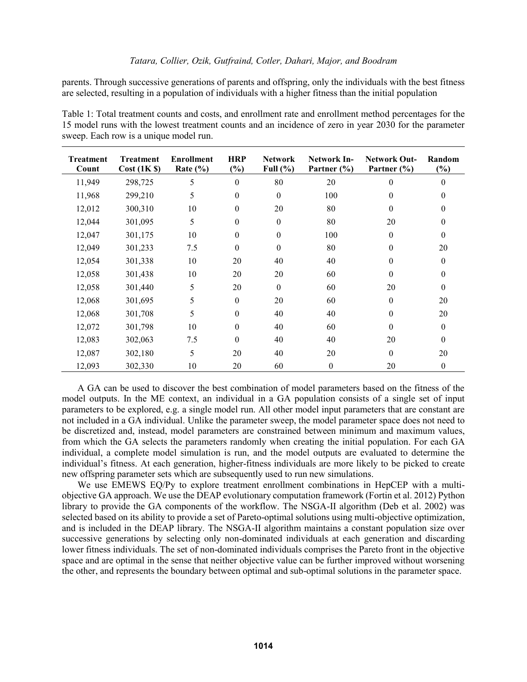parents. Through successive generations of parents and offspring, only the individuals with the best fitness are selected, resulting in a population of individuals with a higher fitness than the initial population

<span id="page-6-0"></span>

| Table 1: Total treatment counts and costs, and enrollment rate and enrollment method percentages for the |
|----------------------------------------------------------------------------------------------------------|
| 15 model runs with the lowest treatment counts and an incidence of zero in year 2030 for the parameter   |
| sweep. Each row is a unique model run.                                                                   |

| <b>Treatment</b><br>Count | <b>Treatment</b><br>Cost (1K \$) | <b>Enrollment</b><br>Rate $(\% )$ | <b>HRP</b><br>(%) | <b>Network</b><br>Full $(\% )$ | Network In-<br>Partner $(\% )$ | <b>Network Out-</b><br>Partner $(\% )$ | Random<br>$(\%)$ |
|---------------------------|----------------------------------|-----------------------------------|-------------------|--------------------------------|--------------------------------|----------------------------------------|------------------|
| 11,949                    | 298,725                          | 5                                 | $\boldsymbol{0}$  | 80                             | 20                             | $\Omega$                               | $\theta$         |
| 11,968                    | 299,210                          | 5                                 | $\boldsymbol{0}$  | $\boldsymbol{0}$               | 100                            | $\Omega$                               | $\theta$         |
| 12,012                    | 300,310                          | 10                                | $\boldsymbol{0}$  | 20                             | 80                             | $\theta$                               | $\mathbf{0}$     |
| 12,044                    | 301,095                          | 5                                 | $\boldsymbol{0}$  | $\boldsymbol{0}$               | 80                             | 20                                     | $\boldsymbol{0}$ |
| 12,047                    | 301,175                          | 10                                | $\boldsymbol{0}$  | $\boldsymbol{0}$               | 100                            | $\Omega$                               | $\theta$         |
| 12,049                    | 301,233                          | 7.5                               | $\boldsymbol{0}$  | $\boldsymbol{0}$               | 80                             | $\Omega$                               | 20               |
| 12,054                    | 301,338                          | 10                                | 20                | 40                             | 40                             | $\Omega$                               | $\theta$         |
| 12,058                    | 301,438                          | 10                                | 20                | 20                             | 60                             | $\Omega$                               | $\boldsymbol{0}$ |
| 12,058                    | 301,440                          | 5                                 | 20                | $\boldsymbol{0}$               | 60                             | 20                                     | $\theta$         |
| 12,068                    | 301,695                          | 5                                 | $\boldsymbol{0}$  | 20                             | 60                             | $\theta$                               | 20               |
| 12,068                    | 301,708                          | 5                                 | $\boldsymbol{0}$  | 40                             | 40                             | $\Omega$                               | 20               |
| 12,072                    | 301,798                          | 10                                | $\boldsymbol{0}$  | 40                             | 60                             | $\Omega$                               | $\theta$         |
| 12,083                    | 302,063                          | 7.5                               | $\boldsymbol{0}$  | 40                             | 40                             | 20                                     | $\theta$         |
| 12,087                    | 302,180                          | 5                                 | 20                | 40                             | 20                             | $\theta$                               | 20               |
| 12,093                    | 302,330                          | 10                                | 20                | 60                             | $\boldsymbol{0}$               | 20                                     | $\mathbf{0}$     |

A GA can be used to discover the best combination of model parameters based on the fitness of the model outputs. In the ME context, an individual in a GA population consists of a single set of input parameters to be explored, e.g. a single model run. All other model input parameters that are constant are not included in a GA individual. Unlike the parameter sweep, the model parameter space does not need to be discretized and, instead, model parameters are constrained between minimum and maximum values, from which the GA selects the parameters randomly when creating the initial population. For each GA individual, a complete model simulation is run, and the model outputs are evaluated to determine the individual's fitness. At each generation, higher-fitness individuals are more likely to be picked to create new offspring parameter sets which are subsequently used to run new simulations.

We use EMEWS EQ/Py to explore treatment enrollment combinations in HepCEP with a multiobjective GA approach. We use the DEAP evolutionary computation framework (Fortin et al. 2012) Python library to provide the GA components of the workflow. The NSGA-II algorithm (Deb et al. 2002) was selected based on its ability to provide a set of Pareto-optimal solutions using multi-objective optimization, and is included in the DEAP library. The NSGA-II algorithm maintains a constant population size over successive generations by selecting only non-dominated individuals at each generation and discarding lower fitness individuals. The set of non-dominated individuals comprises the Pareto front in the objective space and are optimal in the sense that neither objective value can be further improved without worsening the other, and represents the boundary between optimal and sub-optimal solutions in the parameter space.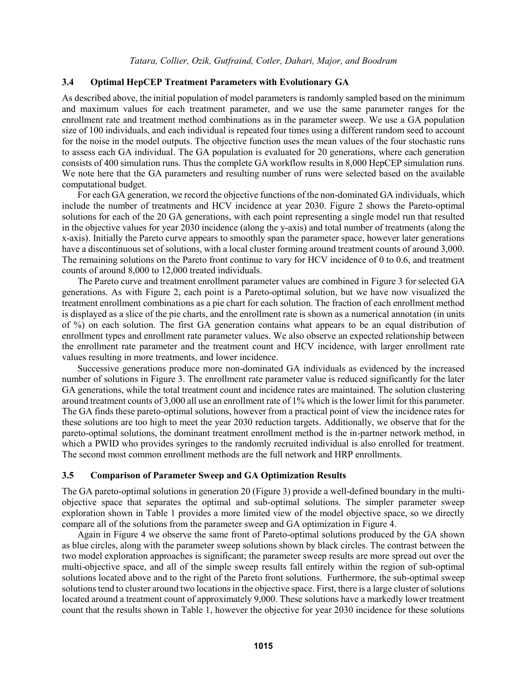### **3.4 Optimal HepCEP Treatment Parameters with Evolutionary GA**

As described above, the initial population of model parameters is randomly sampled based on the minimum and maximum values for each treatment parameter, and we use the same parameter ranges for the enrollment rate and treatment method combinations as in the parameter sweep. We use a GA population size of 100 individuals, and each individual is repeated four times using a different random seed to account for the noise in the model outputs. The objective function uses the mean values of the four stochastic runs to assess each GA individual. The GA population is evaluated for 20 generations, where each generation consists of 400 simulation runs. Thus the complete GA workflow results in 8,000 HepCEP simulation runs. We note here that the GA parameters and resulting number of runs were selected based on the available computational budget.

For each GA generation, we record the objective functions of the non-dominated GA individuals, which include the number of treatments and HCV incidence at year 2030. [Figure 2](#page-8-0) shows the Pareto-optimal solutions for each of the 20 GA generations, with each point representing a single model run that resulted in the objective values for year 2030 incidence (along the y-axis) and total number of treatments (along the x-axis). Initially the Pareto curve appears to smoothly span the parameter space, however later generations have a discontinuous set of solutions, with a local cluster forming around treatment counts of around 3,000. The remaining solutions on the Pareto front continue to vary for HCV incidence of 0 to 0.6, and treatment counts of around 8,000 to 12,000 treated individuals.

The Pareto curve and treatment enrollment parameter values are combined in [Figure 3](#page-9-0) for selected GA generations. As with [Figure 2,](#page-8-0) each point is a Pareto-optimal solution, but we have now visualized the treatment enrollment combinations as a pie chart for each solution. The fraction of each enrollment method is displayed as a slice of the pie charts, and the enrollment rate is shown as a numerical annotation (in units of %) on each solution. The first GA generation contains what appears to be an equal distribution of enrollment types and enrollment rate parameter values. We also observe an expected relationship between the enrollment rate parameter and the treatment count and HCV incidence, with larger enrollment rate values resulting in more treatments, and lower incidence.

Successive generations produce more non-dominated GA individuals as evidenced by the increased number of solutions in [Figure 3.](#page-9-0) The enrollment rate parameter value is reduced significantly for the later GA generations, while the total treatment count and incidence rates are maintained. The solution clustering around treatment counts of 3,000 all use an enrollment rate of 1% which is the lower limit for this parameter. The GA finds these pareto-optimal solutions, however from a practical point of view the incidence rates for these solutions are too high to meet the year 2030 reduction targets. Additionally, we observe that for the pareto-optimal solutions, the dominant treatment enrollment method is the in-partner network method, in which a PWID who provides syringes to the randomly recruited individual is also enrolled for treatment. The second most common enrollment methods are the full network and HRP enrollments.

#### **3.5 Comparison of Parameter Sweep and GA Optimization Results**

The GA pareto-optimal solutions in generation 20 [\(Figure 3\)](#page-9-0) provide a well-defined boundary in the multiobjective space that separates the optimal and sub-optimal solutions. The simpler parameter sweep exploration shown in [Table 1](#page-6-0) provides a more limited view of the model objective space, so we directly compare all of the solutions from the parameter sweep and GA optimization in [Figure 4.](#page-10-0)

Again in [Figure 4](#page-10-0) we observe the same front of Pareto-optimal solutions produced by the GA shown as blue circles, along with the parameter sweep solutions shown by black circles. The contrast between the two model exploration approaches is significant; the parameter sweep results are more spread out over the multi-objective space, and all of the simple sweep results fall entirely within the region of sub-optimal solutions located above and to the right of the Pareto front solutions. Furthermore, the sub-optimal sweep solutions tend to cluster around two locations in the objective space. First, there is a large cluster of solutions located around a treatment count of approximately 9,000. These solutions have a markedly lower treatment count that the results shown in [Table 1,](#page-6-0) however the objective for year 2030 incidence for these solutions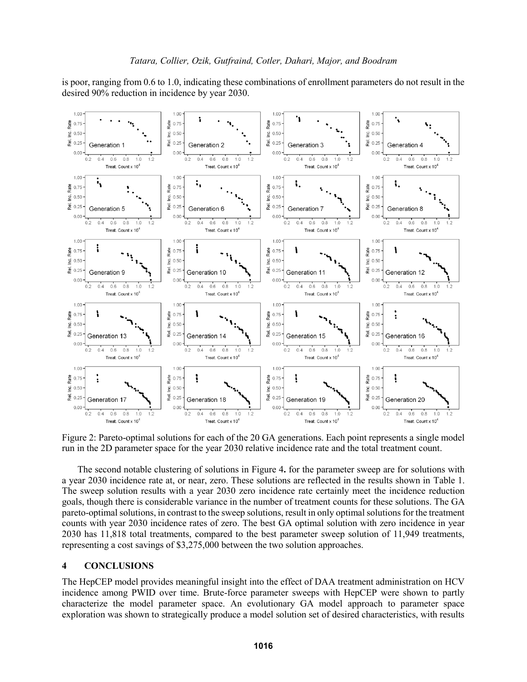is poor, ranging from 0.6 to 1.0, indicating these combinations of enrollment parameters do not result in the desired 90% reduction in incidence by year 2030.



<span id="page-8-0"></span>Figure 2: Pareto-optimal solutions for each of the 20 GA generations. Each point represents a single model run in the 2D parameter space for the year 2030 relative incidence rate and the total treatment count.

The second notable clustering of solutions in [Figure 4](#page-10-0)**.** for the parameter sweep are for solutions with a year 2030 incidence rate at, or near, zero. These solutions are reflected in the results shown in [Table 1.](#page-6-0) The sweep solution results with a year 2030 zero incidence rate certainly meet the incidence reduction goals, though there is considerable variance in the number of treatment counts for these solutions. The GA pareto-optimal solutions, in contrast to the sweep solutions, result in only optimal solutions for the treatment counts with year 2030 incidence rates of zero. The best GA optimal solution with zero incidence in year 2030 has 11,818 total treatments, compared to the best parameter sweep solution of 11,949 treatments, representing a cost savings of \$3,275,000 between the two solution approaches.

### **4 CONCLUSIONS**

The HepCEP model provides meaningful insight into the effect of DAA treatment administration on HCV incidence among PWID over time. Brute-force parameter sweeps with HepCEP were shown to partly characterize the model parameter space. An evolutionary GA model approach to parameter space exploration was shown to strategically produce a model solution set of desired characteristics, with results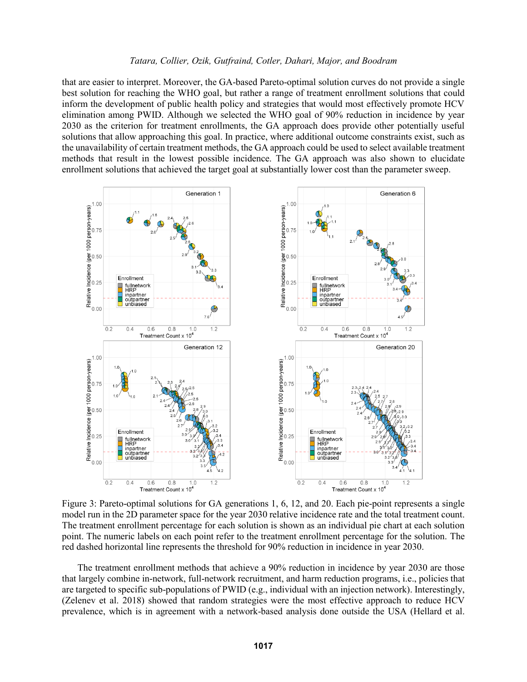that are easier to interpret. Moreover, the GA-based Pareto-optimal solution curves do not provide a single best solution for reaching the WHO goal, but rather a range of treatment enrollment solutions that could inform the development of public health policy and strategies that would most effectively promote HCV elimination among PWID. Although we selected the WHO goal of 90% reduction in incidence by year 2030 as the criterion for treatment enrollments, the GA approach does provide other potentially useful solutions that allow approaching this goal. In practice, where additional outcome constraints exist, such as the unavailability of certain treatment methods, the GA approach could be used to select available treatment methods that result in the lowest possible incidence. The GA approach was also shown to elucidate enrollment solutions that achieved the target goal at substantially lower cost than the parameter sweep.



<span id="page-9-0"></span>Figure 3: Pareto-optimal solutions for GA generations 1, 6, 12, and 20. Each pie-point represents a single model run in the 2D parameter space for the year 2030 relative incidence rate and the total treatment count. The treatment enrollment percentage for each solution is shown as an individual pie chart at each solution point. The numeric labels on each point refer to the treatment enrollment percentage for the solution. The red dashed horizontal line represents the threshold for 90% reduction in incidence in year 2030.

The treatment enrollment methods that achieve a 90% reduction in incidence by year 2030 are those that largely combine in-network, full-network recruitment, and harm reduction programs, i.e., policies that are targeted to specific sub-populations of PWID (e.g., individual with an injection network). Interestingly, (Zelenev et al. 2018) showed that random strategies were the most effective approach to reduce HCV prevalence, which is in agreement with a network-based analysis done outside the USA (Hellard et al.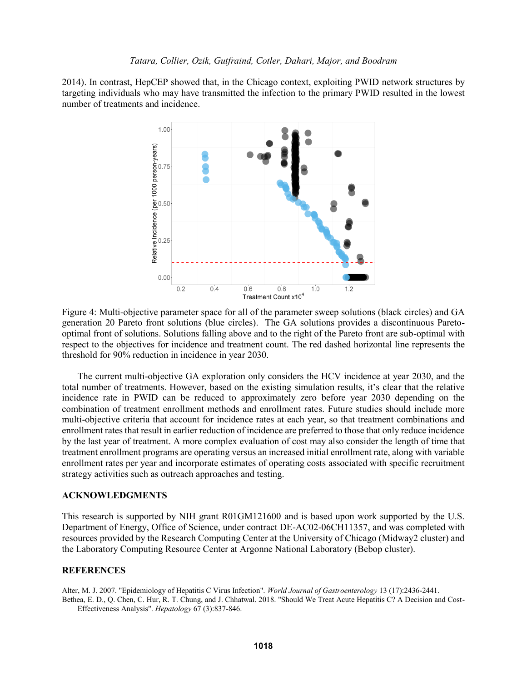2014). In contrast, HepCEP showed that, in the Chicago context, exploiting PWID network structures by targeting individuals who may have transmitted the infection to the primary PWID resulted in the lowest number of treatments and incidence.



<span id="page-10-0"></span>Figure 4: Multi-objective parameter space for all of the parameter sweep solutions (black circles) and GA generation 20 Pareto front solutions (blue circles). The GA solutions provides a discontinuous Paretooptimal front of solutions. Solutions falling above and to the right of the Pareto front are sub-optimal with respect to the objectives for incidence and treatment count. The red dashed horizontal line represents the threshold for 90% reduction in incidence in year 2030.

The current multi-objective GA exploration only considers the HCV incidence at year 2030, and the total number of treatments. However, based on the existing simulation results, it's clear that the relative incidence rate in PWID can be reduced to approximately zero before year 2030 depending on the combination of treatment enrollment methods and enrollment rates. Future studies should include more multi-objective criteria that account for incidence rates at each year, so that treatment combinations and enrollment rates that result in earlier reduction of incidence are preferred to those that only reduce incidence by the last year of treatment. A more complex evaluation of cost may also consider the length of time that treatment enrollment programs are operating versus an increased initial enrollment rate, along with variable enrollment rates per year and incorporate estimates of operating costs associated with specific recruitment strategy activities such as outreach approaches and testing.

#### **ACKNOWLEDGMENTS**

This research is supported by NIH grant R01GM121600 and is based upon work supported by the U.S. Department of Energy, Office of Science, under contract DE-AC02-06CH11357, and was completed with resources provided by the Research Computing Center at the University of Chicago (Midway2 cluster) and the Laboratory Computing Resource Center at Argonne National Laboratory (Bebop cluster).

### **REFERENCES**

Alter, M. J. 2007. "Epidemiology of Hepatitis C Virus Infection". *World Journal of Gastroenterology* 13 (17):2436-2441. Bethea, E. D., Q. Chen, C. Hur, R. T. Chung, and J. Chhatwal. 2018. "Should We Treat Acute Hepatitis C? A Decision and Cost-Effectiveness Analysis". *Hepatology* 67 (3):837-846.